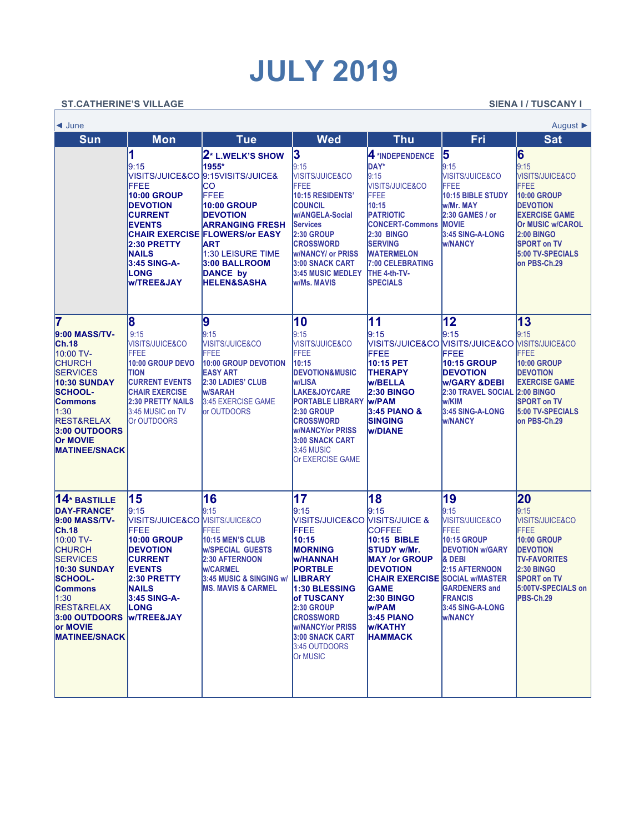## **JULY 2019**

## ST.CATHERINE'S VILLAGE ST.CATHERINE'S VILLAGE

 $\overline{\Gamma}$ 

| August $\blacktriangleright$<br>$\triangleleft$ June                                                                                                                                                                                                             |                                                                                                                                                                                                                                  |                                                                                                                                                                                                                                       |                                                                                                                                                                                                                                                                            |                                                                                                                                                                                                                                                                                         |                                                                                                                                                                                                                |                                                                                                                                                                                                                            |  |  |  |
|------------------------------------------------------------------------------------------------------------------------------------------------------------------------------------------------------------------------------------------------------------------|----------------------------------------------------------------------------------------------------------------------------------------------------------------------------------------------------------------------------------|---------------------------------------------------------------------------------------------------------------------------------------------------------------------------------------------------------------------------------------|----------------------------------------------------------------------------------------------------------------------------------------------------------------------------------------------------------------------------------------------------------------------------|-----------------------------------------------------------------------------------------------------------------------------------------------------------------------------------------------------------------------------------------------------------------------------------------|----------------------------------------------------------------------------------------------------------------------------------------------------------------------------------------------------------------|----------------------------------------------------------------------------------------------------------------------------------------------------------------------------------------------------------------------------|--|--|--|
| <b>Sun</b>                                                                                                                                                                                                                                                       | <b>Mon</b>                                                                                                                                                                                                                       | <b>Tue</b>                                                                                                                                                                                                                            | Wed                                                                                                                                                                                                                                                                        | <b>Thu</b>                                                                                                                                                                                                                                                                              | Fri                                                                                                                                                                                                            | <b>Sat</b>                                                                                                                                                                                                                 |  |  |  |
|                                                                                                                                                                                                                                                                  | 1<br>9:15<br>VISITS/JUICE&CO<br>FFEE<br><b>10:00 GROUP</b><br><b>DEVOTION</b><br><b>CURRENT</b><br><b>EVENTS</b><br><b>CHAIR EXERCISE</b><br>2:30 PRETTY<br><b>NAILS</b><br>3:45 SING-A-<br><b>LONG</b><br><b>W/TREE&amp;JAY</b> | 2* L.WELK'S SHOW<br>1955*<br>9:15VISITS/JUICE&<br>CO<br>FFEE<br>10:00 GROUP<br><b>DEVOTION</b><br><b>ARRANGING FRESH</b><br><b>FLOWERS/or EASY</b><br>ART<br>1:30 LEISURE TIME<br>3:00 BALLROOM<br>DANCE by<br><b>HELEN&amp;SASHA</b> | 3<br>9:15<br><b>VISITS/JUICE&amp;CO</b><br><b>FFEE</b><br>10:15 RESIDENTS'<br><b>COUNCIL</b><br>w/ANGELA-Social<br><b>Services</b><br><b>2:30 GROUP</b><br><b>CROSSWORD</b><br><b>W/NANCY/ or PRISS</b><br>3:00 SNACK CART<br><b>3:45 MUSIC MEDLEY</b><br>w/Ms. MAVIS      | 4 *INDEPENDENCE<br><b>DAY*</b><br>9:15<br><b>VISITS/JUICE&amp;CO</b><br><b>FFEE</b><br>10:15<br><b>PATRIOTIC</b><br><b>CONCERT-Commons</b><br><b>2:30 BINGO</b><br><b>SERVING</b><br><b>WATERMELON</b><br><b>7:00 CELEBRATING</b><br>THE 4-th-TV-<br><b>SPECIALS</b>                    | 5<br>9:15<br><b>VISITS/JUICE&amp;CO</b><br>FFEE<br>10:15 BIBLE STUDY<br>w/Mr. MAY<br>2:30 GAMES / or<br><b>MOVIE</b><br>3:45 SING-A-LONG<br><b>W/NANCY</b>                                                     | 6<br>9:15<br><b>VISITS/JUICE&amp;CO</b><br><b>FFEE</b><br><b>10:00 GROUP</b><br><b>DEVOTION</b><br><b>EXERCISE GAME</b><br><b>Or MUSIC w/CAROL</b><br>2:00 BINGO<br><b>SPORT on TV</b><br>5:00 TV-SPECIALS<br>on PBS-Ch.29 |  |  |  |
| 7<br>9:00 MASS/TV-<br>Ch.18<br>10:00 TV-<br><b>CHURCH</b><br><b>SERVICES</b><br><b>10:30 SUNDAY</b><br><b>SCHOOL-</b><br>Commons<br>1:30<br><b>REST&amp;RELAX</b><br>3:00 OUTDOORS<br><b>Or MOVIE</b><br><b>MATINEE/SNACK</b>                                    | 8<br>9:15<br><b>VISITS/JUICE&amp;CO</b><br><b>FFEE</b><br>10:00 GROUP DEVO<br><b>TION</b><br><b>CURRENT EVENTS</b><br><b>CHAIR EXERCISE</b><br><b>2:30 PRETTY NAILS</b><br>3:45 MUSIC on TV<br>Or OUTDOORS                       | 9<br>9:15<br><b>VISITS/JUICE&amp;CO</b><br>FFEE<br>10:00 GROUP DEVOTION<br><b>EASY ART</b><br><b>2:30 LADIES' CLUB</b><br>w/SARAH<br>3:45 EXERCISE GAME<br>or OUTDOORS                                                                | 10<br>9:15<br>VISITS/JUICE&CO<br>FFEE<br>10:15<br><b>DEVOTION&amp;MUSIC</b><br><b>w/LISA</b><br>LAKE&JOYCARE<br><b>PORTABLE LIBRARY</b><br><b>2:30 GROUP</b><br><b>CROSSWORD</b><br><b>W/NANCY/or PRISS</b><br>3:00 SNACK CART<br>3:45 MUSIC<br><b>Or EXERCISE GAME</b>    | 11<br>9:15<br>FFEE<br>10:15 PET<br><b>THERAPY</b><br><b>W/BELLA</b><br><b>2:30 BINGO</b><br><b>W/PAM</b><br><b>3:45 PIANO &amp;</b><br><b>SINGING</b><br><b>W/DIANE</b>                                                                                                                 | 12<br>9:15<br>VISITS/JUICE&CO VISITS/JUICE&CO VISITS/JUICE&CO<br>FFEE<br><b>10:15 GROUP</b><br><b>DEVOTION</b><br><b>W/GARY &amp;DEBI</b><br>2:30 TRAVEL SOCIAL<br>w/KIM<br>3:45 SING-A-LONG<br><b>W/NANCY</b> | 13<br>9:15<br><b>FFEE</b><br><b>10:00 GROUP</b><br><b>DEVOTION</b><br><b>EXERCISE GAME</b><br><b>2:00 BINGO</b><br><b>SPORT on TV</b><br>5:00 TV-SPECIALS<br>on PBS-Ch.29                                                  |  |  |  |
| $14*$ BASTILLE<br><b>DAY-FRANCE*</b><br>9:00 MASS/TV-<br>Ch.18<br>10:00 TV-<br><b>CHURCH</b><br><b>SERVICES</b><br><b>10:30 SUNDAY</b><br><b>SCHOOL-</b><br><b>Commons</b><br>1:30<br><b>REST&amp;RELAX</b><br>3:00 OUTDOORS<br>or MOVIE<br><b>MATINEE/SNACK</b> | 15<br>9:15<br>VISITS/JUICE&CO MISITS/JUICE&CO<br>FFEE<br><b>10:00 GROUP</b><br><b>DEVOTION</b><br><b>CURRENT</b><br><b>EVENTS</b><br>2:30 PRETTY<br><b>NAILS</b><br>3:45 SING-A-<br><b>LONG</b><br><b>W/TREE&amp;JAY</b>         | 16<br>9:15<br>FFEE<br>10:15 MEN'S CLUB<br><b>W/SPECIAL GUESTS</b><br>2:30 AFTERNOON<br>w/CARMEL<br>3:45 MUSIC & SINGING w/<br><b>MS. MAVIS &amp; CARMEL</b>                                                                           | 17<br>9:15<br>VISITS/JUICE&CO<br>FFEE<br>10:15<br><b>MORNING</b><br><b>W/HANNAH</b><br><b>PORTBLE</b><br>LIBRARY<br>1:30 BLESSING<br>of TUSCANY<br><b>2:30 GROUP</b><br><b>CROSSWORD</b><br><b>w/NANCY/or PRISS</b><br>3:00 SNACK CART<br>3:45 OUTDOORS<br><b>Or MUSIC</b> | 18<br>9:15<br><b>VISITS/JUICE &amp;</b><br><b>COFFEE</b><br>10:15 BIBLE<br><b>STUDY w/Mr.</b><br><b>MAY /or GROUP</b><br><b>DEVOTION</b><br><b>CHAIR EXERCISE SOCIAL W/MASTER</b><br><b>GAME</b><br><b>2:30 BINGO</b><br>w/PAM<br><b>3:45 PIANO</b><br><b>W/KATHY</b><br><b>HAMMACK</b> | 19<br>9:15<br><b>VISITS/JUICE&amp;CO</b><br>FFEE<br>10:15 GROUP<br><b>DEVOTION w/GARY</b><br>& DEBI<br>2:15 AFTERNOON<br><b>GARDENERS</b> and<br><b>FRANCIS</b><br>3:45 SING-A-LONG<br><b>W/NANCY</b>          | 20<br>9:15<br>VISITS/JUICE&CO<br>FFEE<br><b>10:00 GROUP</b><br><b>DEVOTION</b><br><b>TV-FAVORITES</b><br><b>2:30 BINGO</b><br><b>SPORT on TV</b><br>5:00TV-SPECIALS on<br>PBS-Ch.29                                        |  |  |  |